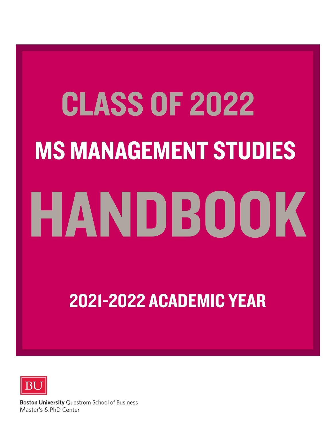# **CLASS OF 2022 MS MANAGEMENT STUDIES** HANDBOOK

2021-2022 ACADEMIC YEAR



**Boston University Questrom School of Business** Master's & PhD Center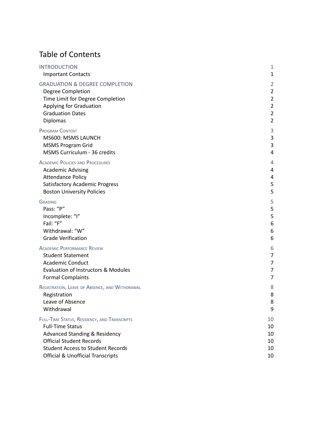# Table of Contents

| <b>INTRODUCTION</b>                            | 1              |
|------------------------------------------------|----------------|
| <b>Important Contacts</b>                      | 1              |
| <b>GRADUATION &amp; DEGREE COMPLETION</b>      | $\overline{2}$ |
| Degree Completion                              | $\overline{2}$ |
| Time Limit for Degree Completion               | $\overline{2}$ |
| Applying for Graduation                        | $\overline{2}$ |
| <b>Graduation Dates</b>                        | $\overline{2}$ |
| Diplomas                                       | $\overline{2}$ |
| <b>PROGRAM CONTENT</b>                         | 3              |
| MS600: MSMS LAUNCH                             | 3              |
| <b>MSMS Program Grid</b>                       | 3              |
| MSMS Curriculum - 36 credits                   | 4              |
| <b>ACADEMIC POLICIES AND PROCEDURES</b>        | 4              |
| <b>Academic Advising</b>                       | 4              |
| <b>Attendance Policy</b>                       | 4              |
| <b>Satisfactory Academic Progress</b>          | 5              |
| <b>Boston University Policies</b>              | 5              |
| <b>GRADING</b>                                 | 5              |
| Pass: "P"                                      | 5              |
| Incomplete: "I"                                | $\overline{5}$ |
| Fail: "F"                                      | 6              |
| Withdrawal: "W"                                | 6              |
| <b>Grade Verification</b>                      | 6              |
| <b>ACADEMIC PERFORMANCE REVIEW</b>             | 6              |
| <b>Student Statement</b>                       | 7              |
| <b>Academic Conduct</b>                        | 7              |
| Evaluation of Instructors & Modules            | 7              |
| <b>Formal Complaints</b>                       | $\overline{7}$ |
| REGISTRATION, LEAVE OF ABSENCE, AND WITHDRAWAL | 8              |
| Registration                                   | 8              |
| Leave of Absence                               | 8              |
| Withdrawal                                     | 9              |
| FULL-TIME STATUS, RESIDENCY, AND TRANSCRIPTS   | 10             |
| <b>Full-Time Status</b>                        | 10             |
| <b>Advanced Standing &amp; Residency</b>       | 10             |
| <b>Official Student Records</b>                | 10             |
| <b>Student Access to Student Records</b>       | 10             |
| <b>Official &amp; Unofficial Transcripts</b>   | 10             |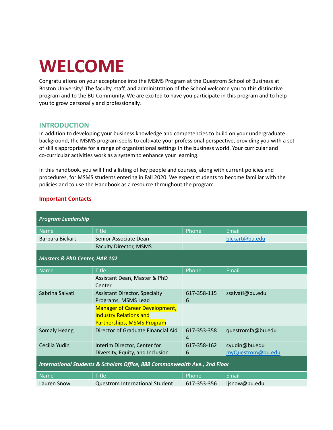# **WELCOME**

Congratulations on your acceptance into the MSMS Program at the Questrom School of Business at Boston University! The faculty, staff, and administration of the School welcome you to this distinctive program and to the BU Community. We are excited to have you participate in this program and to help you to grow personally and professionally.

# <span id="page-2-0"></span>**INTRODUCTION**

In addition to developing your business knowledge and competencies to build on your undergraduate background, the MSMS program seeks to cultivate your professional perspective, providing you with a set of skills appropriate for a range of organizational settings in the business world. Your curricular and co-curricular activities work as a system to enhance your learning.

In this handbook, you will find a listing of key people and courses, along with current policies and procedures, for MSMS students entering in Fall 2020. We expect students to become familiar with the policies and to use the Handbook as a resource throughout the program.

| <b>Program Leadership</b>                                                  |                                                                                                             |                  |                   |
|----------------------------------------------------------------------------|-------------------------------------------------------------------------------------------------------------|------------------|-------------------|
| <b>Name</b>                                                                | <b>Title</b>                                                                                                | Phone            | Email             |
| Barbara Bickart                                                            | Senior Associate Dean                                                                                       |                  | bickart@bu.edu    |
|                                                                            | <b>Faculty Director, MSMS</b>                                                                               |                  |                   |
| <b>Masters &amp; PhD Center, HAR 102</b>                                   |                                                                                                             |                  |                   |
| <b>Name</b>                                                                | <b>Title</b>                                                                                                | Phone            | Email             |
|                                                                            | Assistant Dean, Master & PhD<br>Center                                                                      |                  |                   |
| Sabrina Salvati                                                            | <b>Assistant Director, Specialty</b><br>Programs, MSMS Lead                                                 | 617-358-115<br>6 | ssalvati@bu.edu   |
|                                                                            | <b>Manager of Career Development,</b><br><b>Industry Relations and</b><br><b>Partnerships, MSMS Program</b> |                  |                   |
| <b>Somaly Heang</b>                                                        | Director of Graduate Financial Aid                                                                          | 617-353-358<br>4 | questromfa@bu.edu |
| Cecilia Yudin                                                              | Interim Director, Center for                                                                                | 617-358-162      | cyudin@bu.edu     |
|                                                                            | Diversity, Equity, and Inclusion                                                                            | 6                | myQuestrom@bu.edu |
| International Students & Scholars Office, 888 Commonwealth Ave., 2nd Floor |                                                                                                             |                  |                   |
| <b>Name</b>                                                                | <b>Title</b>                                                                                                | Phone            | Email             |
| Lauren Snow                                                                | <b>Questrom International Student</b>                                                                       | 617-353-356      | ljsnow@bu.edu     |

#### <span id="page-2-1"></span>**Important Contacts**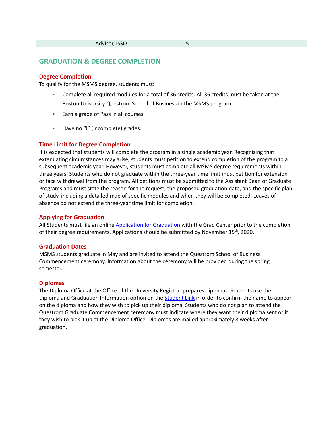### <span id="page-3-0"></span>**GRADUATION & DEGREE COMPLETION**

#### <span id="page-3-1"></span>**Degree Completion**

To qualify for the MSMS degree, students must:

- Complete all required modules for a total of 36 credits. All 36 credits must be taken at the Boston University Questrom School of Business in the MSMS program.
- Earn a grade of Pass in all courses.
- Have no "I" (Incomplete) grades.

#### <span id="page-3-2"></span>**Time Limit for Degree Completion**

It is expected that students will complete the program in a single academic year. Recognizing that extenuating circumstances may arise, students must petition to extend completion of the program to a subsequent academic year. However, students must complete all MSMS degree requirements within three years. Students who do not graduate within the three-year time limit must petition for extension or face withdrawal from the program. All petitions must be submitted to the Assistant Dean of Graduate Programs and must state the reason for the request, the proposed graduation date, and the specific plan of study, including a detailed map of specific modules and when they will be completed. Leaves of absence do not extend the three-year time limit for completion.

#### <span id="page-3-3"></span>**Applying for Graduation**

All Students must file an online [Application](http://questromworld.bu.edu/gradcenter/essentials/commencement/application-for-graduation/) for Graduation with the Grad Center prior to the completion of their degree requirements. Applications should be submitted by November 15<sup>th</sup>, 2020.

#### <span id="page-3-4"></span>**Graduation Dates**

MSMS students graduate in May and are invited to attend the Questrom School of Business Commencement ceremony. Information about the ceremony will be provided during the spring semester.

#### <span id="page-3-5"></span>**Diplomas**

The Diploma Office at the Office of the University Registrar prepares diplomas. Students use the Diploma and Graduation Information option on the **[Student](http://www.bu.edu/studentlink) Link** in order to confirm the name to appear on the diploma and how they wish to pick up their diploma. Students who do not plan to attend the Questrom Graduate Commencement ceremony must indicate where they want their diploma sent or if they wish to pick it up at the Diploma Office. Diplomas are mailed approximately 8 weeks after graduation.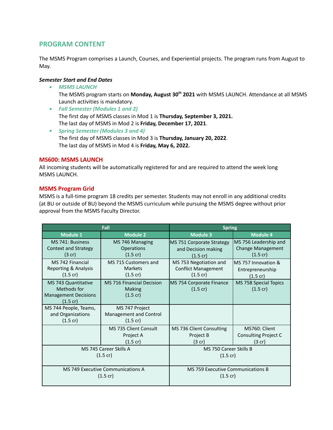# <span id="page-4-0"></span>**PROGRAM CONTENT**

The MSMS Program comprises a Launch, Courses, and Experiential projects. The program runs from August to May.

#### *Semester Start and End Dates*

▪ *MSMS LAUNCH*

The MSMS program starts on **Monday, August 30 th 2021** with MSMS LAUNCH. Attendance at all MSMS Launch activities is mandatory.

- *Fall Semester (Modules 1 and 2)* The first day of MSMS classes in Mod 1 is **Thursday, September 3, 2021.** The last day of MSMS in Mod 2 is **Friday, December 17, 2021**.
- *Spring Semester (Modules 3 and 4)* The first day of MSMS classes in Mod 3 is **Thursday, January 20, 2022**. The last day of MSMS in Mod 4 is **Friday, May 6, 2022.**

#### <span id="page-4-1"></span>**MS600: MSMS LAUNCH**

All incoming students will be automatically registered for and are required to attend the week long MSMS LAUNCH.

#### <span id="page-4-2"></span>**MSMS Program Grid**

MSMS is a full-time program 18 credits per semester. Students may not enroll in any additional credits (at BU or outside of BU) beyond the MSMS curriculum while pursuing the MSMS degree without prior approval from the MSMS Faculty Director.

|                                                                                                | Fall                                                                    | <b>Spring</b>                                                              |                                                                         |
|------------------------------------------------------------------------------------------------|-------------------------------------------------------------------------|----------------------------------------------------------------------------|-------------------------------------------------------------------------|
| <b>Module 1</b>                                                                                | <b>Module 2</b>                                                         | <b>Module 3</b>                                                            | <b>Module 4</b>                                                         |
| MS 741: Business<br><b>Context and Strategy</b><br>(3 cr)                                      | MS 746 Managing<br><b>Operations</b><br>$(1.5 \text{ cr})$              | MS 751 Corporate Strategy<br>and Decision making<br>$(1.5 \text{ cr})$     | MS 756 Leadership and<br><b>Change Management</b><br>$(1.5 \text{ cr})$ |
| MS 742 Financial<br>Reporting & Analysis<br>$(1.5 \text{ cr})$                                 | MS 715 Customers and<br><b>Markets</b><br>$(1.5 \text{ cr})$            | MS 753 Negotiation and<br><b>Conflict Management</b><br>$(1.5 \text{ cr})$ | MS 757 Innovation &<br>Entrepreneurship<br>$(1.5 \text{ cr})$           |
| <b>MS 743 Quantitative</b><br>Methods for<br><b>Management Decisions</b><br>$(1.5 \text{ cr})$ | <b>MS 716 Financial Decision</b><br><b>Making</b><br>$(1.5 \text{ cr})$ | MS 754 Corporate Finance<br>$(1.5 \text{ cr})$                             | MS 758 Special Topics<br>$(1.5 \text{ cr})$                             |
| MS 744 People, Teams,<br>and Organizations<br>$(1.5 \text{ cr})$                               | MS 747 Project<br>Management and Control<br>$(1.5 \text{ cr})$          |                                                                            |                                                                         |
|                                                                                                | MS 735 Client Consult<br>Project A<br>$(1.5 \text{ cr})$                | MS 736 Client Consulting<br>Project B<br>$(3$ cr)                          | MS760: Client<br><b>Consulting Project C</b><br>$(3$ cr)                |
|                                                                                                | MS 745 Career Skills A<br>$(1.5 \text{ cr})$                            | MS 750 Career Skills B<br>$(1.5 \text{ cr})$                               |                                                                         |
|                                                                                                | MS 749 Executive Communications A<br>$(1.5 \text{ cr})$                 | <b>MS 759 Executive Communications B</b><br>$(1.5 \text{ cr})$             |                                                                         |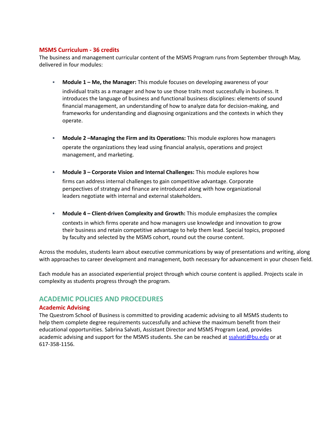#### <span id="page-5-0"></span>**MSMS Curriculum - 36 credits**

The business and management curricular content of the MSMS Program runs from September through May, delivered in four modules:

- **Module 1 – Me, the Manager:** This module focuses on developing awareness of your individual traits as a manager and how to use those traits most successfully in business. It introduces the language of business and functional business disciplines: elements of sound financial management, an understanding of how to analyze data for decision-making, and frameworks for understanding and diagnosing organizations and the contexts in which they operate.
- **Module 2 –Managing the Firm and its Operations:** This module explores how managers operate the organizations they lead using financial analysis, operations and project management, and marketing.
- **Module 3 – Corporate Vision and Internal Challenges:** This module explores how firms can address internal challenges to gain competitive advantage. Corporate perspectives of strategy and finance are introduced along with how organizational leaders negotiate with internal and external stakeholders.
- **Module 4 – Client-driven Complexity and Growth:** This module emphasizes the complex

contexts in which firms operate and how managers use knowledge and innovation to grow their business and retain competitive advantage to help them lead. Special topics, proposed by faculty and selected by the MSMS cohort, round out the course content.

Across the modules, students learn about executive communications by way of presentations and writing, along with approaches to career development and management, both necessary for advancement in your chosen field.

Each module has an associated experiential project through which course content is applied. Projects scale in complexity as students progress through the program.

# <span id="page-5-1"></span>**ACADEMIC POLICIES AND PROCEDURES**

#### <span id="page-5-2"></span>**Academic Advising**

The Questrom School of Business is committed to providing academic advising to all MSMS students to help them complete degree requirements successfully and achieve the maximum benefit from their educational opportunities. Sabrina Salvati, Assistant Director and MSMS Program Lead, provides academic advising and support for the MSMS students. She can be reached at [ssalvati@bu.edu](mailto:ssalvati@bu.edu) or at 617-358-1156.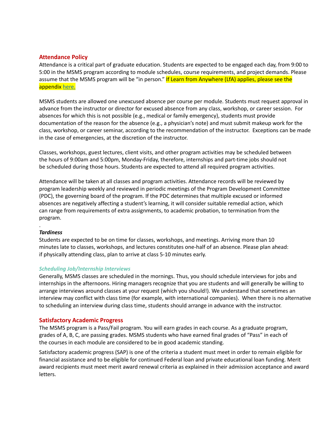#### <span id="page-6-0"></span>**Attendance Policy**

Attendance is a critical part of graduate education. Students are expected to be engaged each day, from 9:00 to 5:00 in the MSMS program according to module schedules, course requirements, and project demands. Please assume that the MSMS program will be "in person." If Learn from Anywhere (LfA) applies, please see the appendix [here.](https://docs.google.com/document/d/1te52TVB-EI4wsL3le3gYQvsUUwMXVLQjTPDDOzEeOrU/edit)

MSMS students are allowed one unexcused absence per course per module. Students must request approval in advance from the instructor or director for excused absence from any class, workshop, or career session. For absences for which this is not possible (e.g., medical or family emergency), students must provide documentation of the reason for the absence (e.g., a physician's note) and must submit makeup work for the class, workshop, or career seminar, according to the recommendation of the instructor. Exceptions can be made in the case of emergencies, at the discretion of the instructor.

Classes, workshops, guest lectures, client visits, and other program activities may be scheduled between the hours of 9:00am and 5:00pm, Monday-Friday, therefore, internships and part-time jobs should not be scheduled during those hours. Students are expected to attend all required program activities.

Attendance will be taken at all classes and program activities. Attendance records will be reviewed by program leadership weekly and reviewed in periodic meetings of the Program Development Committee (PDC), the governing board of the program. If the PDC determines that multiple excused or informed absences are negatively affecting a student's learning, it will consider suitable remedial action, which can range from requirements of extra assignments, to academic probation, to termination from the program.

#### *Tardiness*

.

Students are expected to be on time for classes, workshops, and meetings. Arriving more than 10 minutes late to classes, workshops, and lectures constitutes one-half of an absence. Please plan ahead: if physically attending class, plan to arrive at class 5-10 minutes early.

#### *Scheduling Job/Internship Interviews*

Generally, MSMS classes are scheduled in the mornings. Thus, you should schedule interviews for jobs and internships in the afternoons. Hiring managers recognize that you are students and will generally be willing to arrange interviews around classes at your request (which you should!). We understand that sometimes an interview may conflict with class time (for example, with international companies). When there is no alternative to scheduling an interview during class time, students should arrange in advance with the instructor.

#### <span id="page-6-1"></span>**Satisfactory Academic Progress**

The MSMS program is a Pass/Fail program. You will earn grades in each course. As a graduate program, grades of A, B, C, are passing grades. MSMS students who have earned final grades of "Pass" in each of the courses in each module are considered to be in good academic standing.

<span id="page-6-2"></span>Satisfactory academic progress (SAP) is one of the criteria a student must meet in order to remain eligible for financial assistance and to be eligible for continued Federal loan and private educational loan funding. Merit award recipients must meet merit award renewal criteria as explained in their admission acceptance and award letters.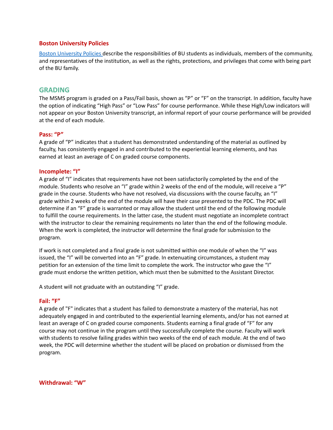#### **Boston University Policies**

Boston [University](http://www.bu.edu/policies/policy-category/student-life/) Policies describe the responsibilities of BU students as individuals, members of the community, and representatives of the institution, as well as the rights, protections, and privileges that come with being part of the BU family.

#### <span id="page-7-0"></span>**GRADING**

The MSMS program is graded on a Pass/Fail basis, shown as "P" or "F" on the transcript. In addition, faculty have the option of indicating "High Pass" or "Low Pass" for course performance. While these High/Low indicators will not appear on your Boston University transcript, an informal report of your course performance will be provided at the end of each module.

#### <span id="page-7-1"></span>**Pass: "P"**

A grade of "P" indicates that a student has demonstrated understanding of the material as outlined by faculty, has consistently engaged in and contributed to the experiential learning elements, and has earned at least an average of C on graded course components.

#### <span id="page-7-2"></span>**Incomplete: "I"**

A grade of "I" indicates that requirements have not been satisfactorily completed by the end of the module. Students who resolve an "I" grade within 2 weeks of the end of the module, will receive a "P" grade in the course. Students who have not resolved, via discussions with the course faculty, an "I" grade within 2 weeks of the end of the module will have their case presented to the PDC. The PDC will determine if an "F" grade is warranted or may allow the student until the end of the following module to fulfill the course requirements. In the latter case, the student must negotiate an incomplete contract with the instructor to clear the remaining requirements no later than the end of the following module. When the work is completed, the instructor will determine the final grade for submission to the program.

If work is not completed and a final grade is not submitted within one module of when the "I" was issued, the "I" will be converted into an "F" grade. In extenuating circumstances, a student may petition for an extension of the time limit to complete the work. The instructor who gave the "I" grade must endorse the written petition, which must then be submitted to the Assistant Director.

A student will not graduate with an outstanding "I" grade.

#### <span id="page-7-3"></span>**Fail: "F"**

A grade of "F" indicates that a student has failed to demonstrate a mastery of the material, has not adequately engaged in and contributed to the experiential learning elements, and/or has not earned at least an average of C on graded course components. Students earning a final grade of "F" for any course may not continue in the program until they successfully complete the course. Faculty will work with students to resolve failing grades within two weeks of the end of each module. At the end of two week, the PDC will determine whether the student will be placed on probation or dismissed from the program.

<span id="page-7-4"></span>**Withdrawal: "W"**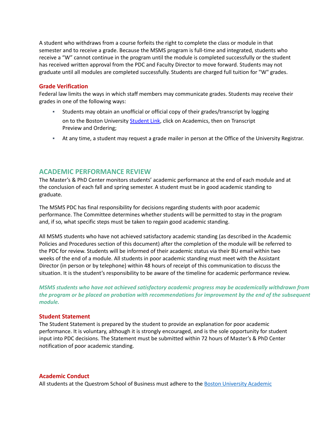A student who withdraws from a course forfeits the right to complete the class or module in that semester and to receive a grade. Because the MSMS program is full-time and integrated, students who receive a "W" cannot continue in the program until the module is completed successfully or the student has received written approval from the PDC and Faculty Director to move forward. Students may not graduate until all modules are completed successfully. Students are charged full tuition for "W" grades.

#### <span id="page-8-0"></span>**Grade Verification**

Federal law limits the ways in which staff members may communicate grades. Students may receive their grades in one of the following ways:

- Students may obtain an unofficial or official copy of their grades/transcript by logging on to the Boston University [Student](http://www.bu.edu/studentlink) Link, click on Academics, then on Transcript Preview and Ordering;
- At any time, a student may request a grade mailer in person at the Office of the University Registrar.

## <span id="page-8-1"></span>**ACADEMIC PERFORMANCE REVIEW**

The Master's & PhD Center monitors students' academic performance at the end of each module and at the conclusion of each fall and spring semester. A student must be in good academic standing to graduate.

The MSMS PDC has final responsibility for decisions regarding students with poor academic performance. The Committee determines whether students will be permitted to stay in the program and, if so, what specific steps must be taken to regain good academic standing.

All MSMS students who have not achieved satisfactory academic standing (as described in the Academic Policies and Procedures section of this document) after the completion of the module will be referred to the PDC for review. Students will be informed of their academic status via their BU email within two weeks of the end of a module. All students in poor academic standing must meet with the Assistant Director (in person or by telephone) within 48 hours of receipt of this communication to discuss the situation. It is the student's responsibility to be aware of the timeline for academic performance review.

*MSMS students who have not achieved satisfactory academic progress may be academically withdrawn from the program or be placed on probation with recommendations for improvement by the end of the subsequent module.*

#### <span id="page-8-2"></span>**Student Statement**

The Student Statement is prepared by the student to provide an explanation for poor academic performance. It is voluntary, although it is strongly encouraged, and is the sole opportunity for student input into PDC decisions. The Statement must be submitted within 72 hours of Master's & PhD Center notification of poor academic standing.

#### <span id="page-8-3"></span>**Academic Conduct**

All students at the Questrom School of Business must adhere to the Boston [University](https://www.bu.edu/academics/policies/academic-conduct-code/) Academic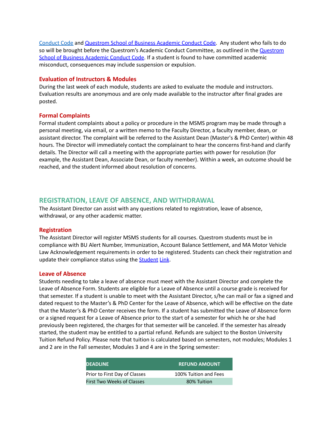[Conduct](https://www.bu.edu/academics/policies/academic-conduct-code/) Code and [Questrom](http://questromworld.bu.edu/acc/) School of Business Academic Conduct Code. Any student who fails to do so will be brought before the [Questrom](http://questromworld.bu.edu/acc/)'s Academic Conduct Committee, as outlined in the Questrom School of Business [Academic](http://questromworld.bu.edu/acc/) Conduct Code. If a student is found to have committed academic misconduct, consequences may include suspension or expulsion.

#### <span id="page-9-0"></span>**Evaluation of Instructors & Modules**

During the last week of each module, students are asked to evaluate the module and instructors. Evaluation results are anonymous and are only made available to the instructor after final grades are posted.

#### <span id="page-9-1"></span>**Formal Complaints**

Formal student complaints about a policy or procedure in the MSMS program may be made through a personal meeting, via email, or a written memo to the Faculty Director, a faculty member, dean, or assistant director. The complaint will be referred to the Assistant Dean (Master's & PhD Center) within 48 hours. The Director will immediately contact the complainant to hear the concerns first-hand and clarify details. The Director will call a meeting with the appropriate parties with power for resolution (for example, the Assistant Dean, Associate Dean, or faculty member). Within a week, an outcome should be reached, and the student informed about resolution of concerns.

# <span id="page-9-2"></span>**REGISTRATION, LEAVE OF ABSENCE, AND WITHDRAWAL**

The Assistant Director can assist with any questions related to registration, leave of absence, withdrawal, or any other academic matter.

#### <span id="page-9-3"></span>**Registration**

The Assistant Director will register MSMS students for all courses. Questrom students must be in compliance with BU Alert Number, Immunization, Account Balance Settlement, and MA Motor Vehicle Law Acknowledgement requirements in order to be registered. Students can check their registration and update their compliance status using the **[Student](http://www.bu.edu/studentlink) Link**.

#### <span id="page-9-4"></span>**Leave of Absence**

Students needing to take a leave of absence must meet with the Assistant Director and complete the Leave of Absence Form. Students are eligible for a Leave of Absence until a course grade is received for that semester. If a student is unable to meet with the Assistant Director, s/he can mail or fax a signed and dated request to the Master's & PhD Center for the Leave of Absence, which will be effective on the date that the Master's & PhD Center receives the form. If a student has submitted the Leave of Absence form or a signed request for a Leave of Absence prior to the start of a semester for which he or she had previously been registered, the charges for that semester will be canceled. If the semester has already started, the student may be entitled to a partial refund. Refunds are subject to the Boston University Tuition Refund Policy. Please note that tuition is calculated based on semesters, not modules; Modules 1 and 2 are in the Fall semester, Modules 3 and 4 are in the Spring semester:

| <b>DEADLINE</b>               | <b>REFUND AMOUNT</b>  |
|-------------------------------|-----------------------|
| Prior to First Day of Classes | 100% Tuition and Fees |
| First Two Weeks of Classes    | 80% Tuition           |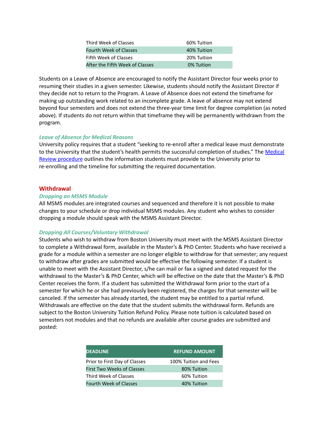| Third Week of Classes           | 60% Tuition |
|---------------------------------|-------------|
| <b>Fourth Week of Classes</b>   | 40% Tuition |
| Fifth Week of Classes           | 20% Tuition |
| After the Fifth Week of Classes | 0% Tuition  |

Students on a Leave of Absence are encouraged to notify the Assistant Director four weeks prior to resuming their studies in a given semester. Likewise, students should notify the Assistant Director if they decide not to return to the Program. A Leave of Absence does not extend the timeframe for making up outstanding work related to an incomplete grade. A leave of absence may not extend beyond four semesters and does not extend the three-year time limit for degree completion (as noted above). If students do not return within that timeframe they will be permanently withdrawn from the program.

#### *Leave of Absence for Medical Reasons*

University policy requires that a student "seeking to re-enroll after a medical leave must demonstrate to the University that the student's health permits the successful completion of studies." The [Medical](http://www.bu.edu/usc/leaveandwithdrawal/returning/medical-review/) Review [procedure](http://www.bu.edu/usc/leaveandwithdrawal/returning/medical-review/) outlines the information students must provide to the University prior to re-enrolling and the timeline for submitting the required documentation.

#### <span id="page-10-0"></span>**Withdrawal**

#### *Dropping an MSMS Module*

All MSMS modules are integrated courses and sequenced and therefore it is not possible to make changes to your schedule or drop individual MSMS modules. Any student who wishes to consider dropping a module should speak with the MSMS Assistant Director.

#### *Dropping All Courses/Voluntary Withdrawal*

Students who wish to withdraw from Boston University must meet with the MSMS Assistant Director to complete a Withdrawal form, available in the Master's & PhD Center. Students who have received a grade for a module within a semester are no longer eligible to withdraw for that semester; any request to withdraw after grades are submitted would be effective the following semester. If a student is unable to meet with the Assistant Director, s/he can mail or fax a signed and dated request for the withdrawal to the Master's & PhD Center, which will be effective on the date that the Master's & PhD Center receives the form. If a student has submitted the Withdrawal form prior to the start of a semester for which he or she had previously been registered, the charges for that semester will be canceled. If the semester has already started, the student may be entitled to a partial refund. Withdrawals are effective on the date that the student submits the withdrawal form. Refunds are subject to the Boston University Tuition Refund Policy. Please note tuition is calculated based on semesters not modules and that no refunds are available after course grades are submitted and posted:

| <b>DEADLINE</b>                   | <b>REFUND AMOUNT</b>  |
|-----------------------------------|-----------------------|
| Prior to First Day of Classes     | 100% Tuition and Fees |
| <b>First Two Weeks of Classes</b> | 80% Tuition           |
| Third Week of Classes             | 60% Tuition           |
| <b>Fourth Week of Classes</b>     | 40% Tuition           |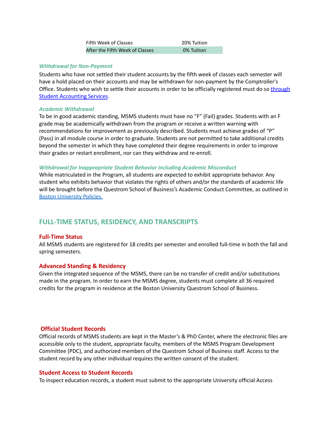| Fifth Week of Classes           | 20% Tuition |
|---------------------------------|-------------|
| After the Fifth Week of Classes | 0% Tuition  |

#### *Withdrawal for Non-Payment*

Students who have not settled their student accounts by the fifth week of classes each semester will have a hold placed on their accounts and may be withdrawn for non-payment by the Comptroller's Office. Students who wish to settle their accounts in order to be officially registered must do so [through](https://www.bu.edu/studentaccountingservices/) Student [Accounting](https://www.bu.edu/studentaccountingservices/) Services.

#### *Academic Withdrawal*

To be in good academic standing, MSMS students must have no "F" (Fail) grades. Students with an F grade may be academically withdrawn from the program or receive a written warning with recommendations for improvement as previously described. Students must achieve grades of "P" (Pass) in all module course in order to graduate. Students are not permitted to take additional credits beyond the semester in which they have completed their degree requirements in order to improve their grades or restart enrollment, nor can they withdraw and re-enroll.

#### *Withdrawal for Inappropriate Student Behavior Including Academic Misconduct*

While matriculated in the Program, all students are expected to exhibit appropriate behavior. Any student who exhibits behavior that violates the rights of others and/or the standards of academic life will be brought before the Questrom School of Business's Academic Conduct Committee, as outlined in Boston [University](https://www.bu.edu/academics/questrom/policies/) Policies.

# <span id="page-11-0"></span>**FULL-TIME STATUS, RESIDENCY, AND TRANSCRIPTS**

#### <span id="page-11-1"></span>**Full-Time Status**

All MSMS students are registered for 18 credits per semester and enrolled full-time in both the fall and spring semesters.

#### <span id="page-11-2"></span>**Advanced Standing & Residency**

Given the integrated sequence of the MSMS, there can be no transfer of credit and/or substitutions made in the program. In order to earn the MSMS degree, students must complete all 36 required credits for the program in residence at the Boston University Questrom School of Business.

#### <span id="page-11-3"></span>**Official Student Records**

Official records of MSMS students are kept in the Master's & PhD Center, where the electronic files are accessible only to the student, appropriate faculty, members of the MSMS Program Development Committee (PDC), and authorized members of the Questrom School of Business staff. Access to the student record by any other individual requires the written consent of the student.

#### <span id="page-11-4"></span>**Student Access to Student Records**

To inspect education records, a student must submit to the appropriate University official Access